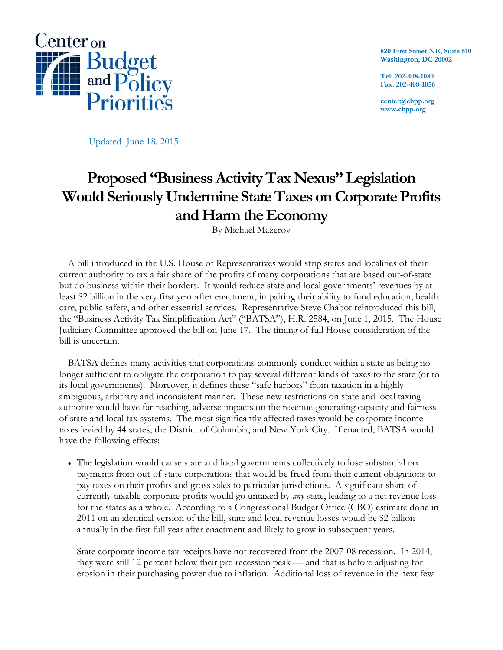

**820 First Street NE, Suite 510 Washington, DC 20002**

**Tel: 202-408-1080 Fax: 202-408-1056**

**center@cbpp.org www.cbpp.org**

Updated June 18, 2015

# **Proposed "Business Activity Tax Nexus" Legislation Would Seriously Undermine State Taxes on Corporate Profits and Harm the Economy**

By Michael Mazerov

A bill introduced in the U.S. House of Representatives would strip states and localities of their current authority to tax a fair share of the profits of many corporations that are based out-of-state but do business within their borders. It would reduce state and local governments' revenues by at least \$2 billion in the very first year after enactment, impairing their ability to fund education, health care, public safety, and other essential services. Representative Steve Chabot reintroduced this bill, the "Business Activity Tax Simplification Act" ("BATSA"), H.R. 2584, on June 1, 2015. The House Judiciary Committee approved the bill on June 17. The timing of full House consideration of the bill is uncertain.

BATSA defines many activities that corporations commonly conduct within a state as being no longer sufficient to obligate the corporation to pay several different kinds of taxes to the state (or to its local governments). Moreover, it defines these "safe harbors" from taxation in a highly ambiguous, arbitrary and inconsistent manner. These new restrictions on state and local taxing authority would have far-reaching, adverse impacts on the revenue-generating capacity and fairness of state and local tax systems. The most significantly affected taxes would be corporate income taxes levied by 44 states, the District of Columbia, and New York City. If enacted, BATSA would have the following effects:

 The legislation would cause state and local governments collectively to lose substantial tax payments from out-of-state corporations that would be freed from their current obligations to pay taxes on their profits and gross sales to particular jurisdictions. A significant share of currently-taxable corporate profits would go untaxed by *any* state, leading to a net revenue loss for the states as a whole. According to a Congressional Budget Office (CBO) estimate done in 2011 on an identical version of the bill, state and local revenue losses would be \$2 billion annually in the first full year after enactment and likely to grow in subsequent years.

State corporate income tax receipts have not recovered from the 2007-08 recession. In 2014, they were still 12 percent below their pre-recession peak — and that is before adjusting for erosion in their purchasing power due to inflation. Additional loss of revenue in the next few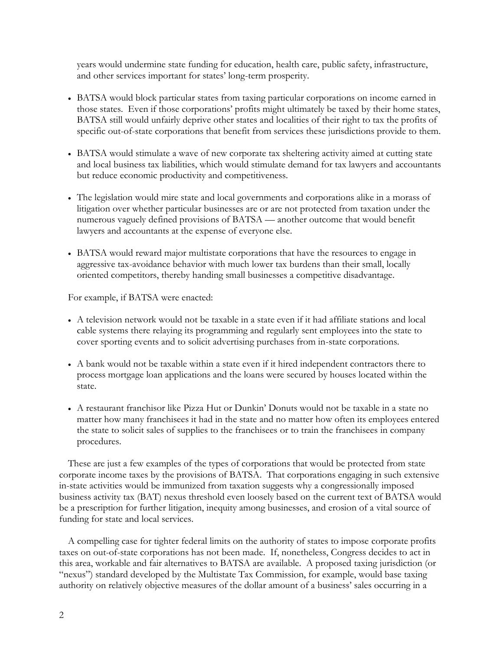years would undermine state funding for education, health care, public safety, infrastructure, and other services important for states' long-term prosperity.

- BATSA would block particular states from taxing particular corporations on income earned in those states. Even if those corporations' profits might ultimately be taxed by their home states, BATSA still would unfairly deprive other states and localities of their right to tax the profits of specific out-of-state corporations that benefit from services these jurisdictions provide to them.
- BATSA would stimulate a wave of new corporate tax sheltering activity aimed at cutting state and local business tax liabilities, which would stimulate demand for tax lawyers and accountants but reduce economic productivity and competitiveness.
- The legislation would mire state and local governments and corporations alike in a morass of litigation over whether particular businesses are or are not protected from taxation under the numerous vaguely defined provisions of BATSA — another outcome that would benefit lawyers and accountants at the expense of everyone else.
- BATSA would reward major multistate corporations that have the resources to engage in aggressive tax-avoidance behavior with much lower tax burdens than their small, locally oriented competitors, thereby handing small businesses a competitive disadvantage.

For example, if BATSA were enacted:

- A television network would not be taxable in a state even if it had affiliate stations and local cable systems there relaying its programming and regularly sent employees into the state to cover sporting events and to solicit advertising purchases from in-state corporations.
- A bank would not be taxable within a state even if it hired independent contractors there to process mortgage loan applications and the loans were secured by houses located within the state.
- A restaurant franchisor like Pizza Hut or Dunkin' Donuts would not be taxable in a state no matter how many franchisees it had in the state and no matter how often its employees entered the state to solicit sales of supplies to the franchisees or to train the franchisees in company procedures.

These are just a few examples of the types of corporations that would be protected from state corporate income taxes by the provisions of BATSA. That corporations engaging in such extensive in-state activities would be immunized from taxation suggests why a congressionally imposed business activity tax (BAT) nexus threshold even loosely based on the current text of BATSA would be a prescription for further litigation, inequity among businesses, and erosion of a vital source of funding for state and local services.

A compelling case for tighter federal limits on the authority of states to impose corporate profits taxes on out-of-state corporations has not been made. If, nonetheless, Congress decides to act in this area, workable and fair alternatives to BATSA are available. A proposed taxing jurisdiction (or "nexus") standard developed by the Multistate Tax Commission, for example, would base taxing authority on relatively objective measures of the dollar amount of a business' sales occurring in a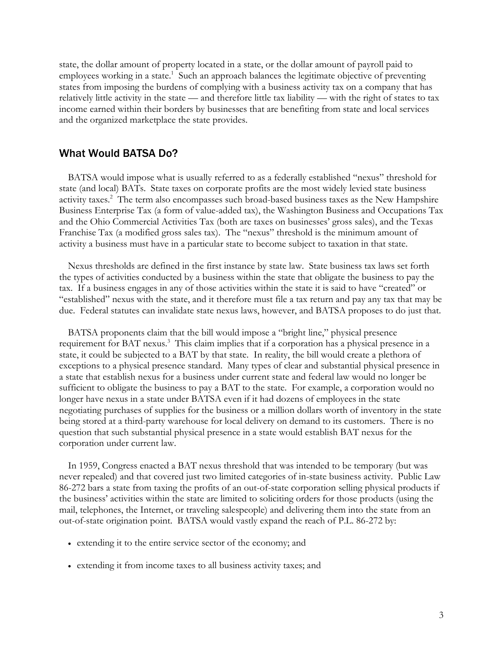state, the dollar amount of property located in a state, or the dollar amount of payroll paid to employees working in a state.<sup>1</sup> Such an approach balances the legitimate objective of preventing states from imposing the burdens of complying with a business activity tax on a company that has relatively little activity in the state — and therefore little tax liability — with the right of states to tax income earned within their borders by businesses that are benefiting from state and local services and the organized marketplace the state provides.

#### What Would BATSA Do?

BATSA would impose what is usually referred to as a federally established "nexus" threshold for state (and local) BATs. State taxes on corporate profits are the most widely levied state business activity taxes.<sup>2</sup> The term also encompasses such broad-based business taxes as the New Hampshire Business Enterprise Tax (a form of value-added tax), the Washington Business and Occupations Tax and the Ohio Commercial Activities Tax (both are taxes on businesses' gross sales), and the Texas Franchise Tax (a modified gross sales tax). The "nexus" threshold is the minimum amount of activity a business must have in a particular state to become subject to taxation in that state.

Nexus thresholds are defined in the first instance by state law. State business tax laws set forth the types of activities conducted by a business within the state that obligate the business to pay the tax. If a business engages in any of those activities within the state it is said to have "created" or "established" nexus with the state, and it therefore must file a tax return and pay any tax that may be due. Federal statutes can invalidate state nexus laws, however, and BATSA proposes to do just that.

BATSA proponents claim that the bill would impose a "bright line," physical presence requirement for BAT nexus.<sup>3</sup> This claim implies that if a corporation has a physical presence in a state, it could be subjected to a BAT by that state. In reality, the bill would create a plethora of exceptions to a physical presence standard. Many types of clear and substantial physical presence in a state that establish nexus for a business under current state and federal law would no longer be sufficient to obligate the business to pay a BAT to the state. For example, a corporation would no longer have nexus in a state under BATSA even if it had dozens of employees in the state negotiating purchases of supplies for the business or a million dollars worth of inventory in the state being stored at a third-party warehouse for local delivery on demand to its customers. There is no question that such substantial physical presence in a state would establish BAT nexus for the corporation under current law.

In 1959, Congress enacted a BAT nexus threshold that was intended to be temporary (but was never repealed) and that covered just two limited categories of in-state business activity. Public Law 86-272 bars a state from taxing the profits of an out-of-state corporation selling physical products if the business' activities within the state are limited to soliciting orders for those products (using the mail, telephones, the Internet, or traveling salespeople) and delivering them into the state from an out-of-state origination point. BATSA would vastly expand the reach of P.L. 86-272 by:

- extending it to the entire service sector of the economy; and
- extending it from income taxes to all business activity taxes; and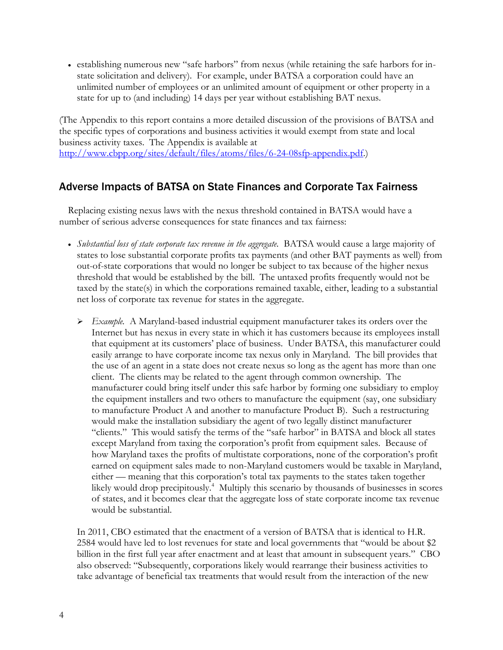establishing numerous new "safe harbors" from nexus (while retaining the safe harbors for instate solicitation and delivery). For example, under BATSA a corporation could have an unlimited number of employees or an unlimited amount of equipment or other property in a state for up to (and including) 14 days per year without establishing BAT nexus.

(The Appendix to this report contains a more detailed discussion of the provisions of BATSA and the specific types of corporations and business activities it would exempt from state and local business activity taxes. The Appendix is available at [http://www.cbpp.org/sites/default/files/atoms/files/6-24-08sfp-appendix.pdf.\)](http://www.cbpp.org/sites/default/files/atoms/files/6-24-08sfp-appendix.pdf)

# Adverse Impacts of BATSA on State Finances and Corporate Tax Fairness

Replacing existing nexus laws with the nexus threshold contained in BATSA would have a number of serious adverse consequences for state finances and tax fairness:

- *Substantial loss of state corporate tax revenue in the aggregate.* BATSA would cause a large majority of states to lose substantial corporate profits tax payments (and other BAT payments as well) from out-of-state corporations that would no longer be subject to tax because of the higher nexus threshold that would be established by the bill. The untaxed profits frequently would not be taxed by the state(s) in which the corporations remained taxable, either, leading to a substantial net loss of corporate tax revenue for states in the aggregate.
	- *Example.* A Maryland-based industrial equipment manufacturer takes its orders over the Internet but has nexus in every state in which it has customers because its employees install that equipment at its customers' place of business. Under BATSA, this manufacturer could easily arrange to have corporate income tax nexus only in Maryland. The bill provides that the use of an agent in a state does not create nexus so long as the agent has more than one client. The clients may be related to the agent through common ownership. The manufacturer could bring itself under this safe harbor by forming one subsidiary to employ the equipment installers and two others to manufacture the equipment (say, one subsidiary to manufacture Product A and another to manufacture Product B). Such a restructuring would make the installation subsidiary the agent of two legally distinct manufacturer "clients." This would satisfy the terms of the "safe harbor" in BATSA and block all states except Maryland from taxing the corporation's profit from equipment sales. Because of how Maryland taxes the profits of multistate corporations, none of the corporation's profit earned on equipment sales made to non-Maryland customers would be taxable in Maryland, either — meaning that this corporation's total tax payments to the states taken together likely would drop precipitously.<sup>4</sup> Multiply this scenario by thousands of businesses in scores of states, and it becomes clear that the aggregate loss of state corporate income tax revenue would be substantial.

In 2011, CBO estimated that the enactment of a version of BATSA that is identical to H.R. 2584 would have led to lost revenues for state and local governments that "would be about \$2 billion in the first full year after enactment and at least that amount in subsequent years." CBO also observed: "Subsequently, corporations likely would rearrange their business activities to take advantage of beneficial tax treatments that would result from the interaction of the new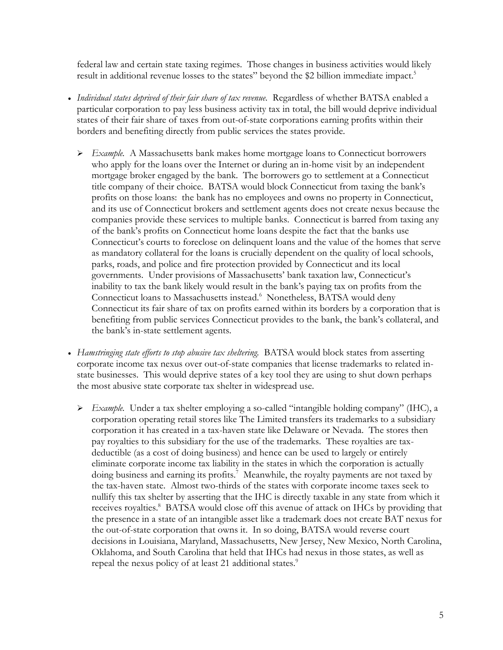federal law and certain state taxing regimes. Those changes in business activities would likely result in additional revenue losses to the states" beyond the \$2 billion immediate impact.<sup>5</sup>

- *Individual states deprived of their fair share of tax revenue.* Regardless of whether BATSA enabled a particular corporation to pay less business activity tax in total, the bill would deprive individual states of their fair share of taxes from out-of-state corporations earning profits within their borders and benefiting directly from public services the states provide.
	- *Example.* A Massachusetts bank makes home mortgage loans to Connecticut borrowers who apply for the loans over the Internet or during an in-home visit by an independent mortgage broker engaged by the bank. The borrowers go to settlement at a Connecticut title company of their choice. BATSA would block Connecticut from taxing the bank's profits on those loans: the bank has no employees and owns no property in Connecticut, and its use of Connecticut brokers and settlement agents does not create nexus because the companies provide these services to multiple banks. Connecticut is barred from taxing any of the bank's profits on Connecticut home loans despite the fact that the banks use Connecticut's courts to foreclose on delinquent loans and the value of the homes that serve as mandatory collateral for the loans is crucially dependent on the quality of local schools, parks, roads, and police and fire protection provided by Connecticut and its local governments. Under provisions of Massachusetts' bank taxation law, Connecticut's inability to tax the bank likely would result in the bank's paying tax on profits from the Connecticut loans to Massachusetts instead.<sup>6</sup> Nonetheless, BATSA would deny Connecticut its fair share of tax on profits earned within its borders by a corporation that is benefiting from public services Connecticut provides to the bank, the bank's collateral, and the bank's in-state settlement agents.
- *Hamstringing state efforts to stop abusive tax sheltering.* BATSA would block states from asserting corporate income tax nexus over out-of-state companies that license trademarks to related instate businesses. This would deprive states of a key tool they are using to shut down perhaps the most abusive state corporate tax shelter in widespread use.
	- *Example.* Under a tax shelter employing a so-called "intangible holding company" (IHC), a corporation operating retail stores like The Limited transfers its trademarks to a subsidiary corporation it has created in a tax-haven state like Delaware or Nevada. The stores then pay royalties to this subsidiary for the use of the trademarks. These royalties are taxdeductible (as a cost of doing business) and hence can be used to largely or entirely eliminate corporate income tax liability in the states in which the corporation is actually doing business and earning its profits.<sup>7</sup> Meanwhile, the royalty payments are not taxed by the tax-haven state. Almost two-thirds of the states with corporate income taxes seek to nullify this tax shelter by asserting that the IHC is directly taxable in any state from which it receives royalties.<sup>8</sup> BATSA would close off this avenue of attack on IHCs by providing that the presence in a state of an intangible asset like a trademark does not create BAT nexus for the out-of-state corporation that owns it. In so doing, BATSA would reverse court decisions in Louisiana, Maryland, Massachusetts, New Jersey, New Mexico, North Carolina, Oklahoma, and South Carolina that held that IHCs had nexus in those states, as well as repeal the nexus policy of at least 21 additional states.<sup>9</sup>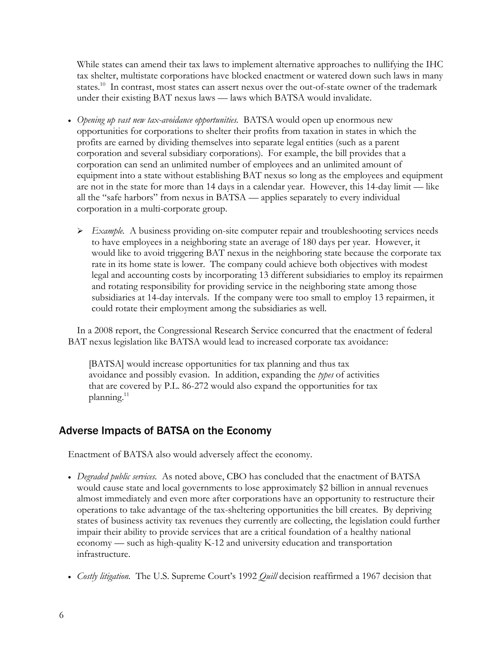While states can amend their tax laws to implement alternative approaches to nullifying the IHC tax shelter, multistate corporations have blocked enactment or watered down such laws in many states.<sup>10</sup> In contrast, most states can assert nexus over the out-of-state owner of the trademark under their existing BAT nexus laws — laws which BATSA would invalidate.

- *Opening up vast new tax-avoidance opportunities.* BATSA would open up enormous new opportunities for corporations to shelter their profits from taxation in states in which the profits are earned by dividing themselves into separate legal entities (such as a parent corporation and several subsidiary corporations). For example, the bill provides that a corporation can send an unlimited number of employees and an unlimited amount of equipment into a state without establishing BAT nexus so long as the employees and equipment are not in the state for more than 14 days in a calendar year. However, this 14-day limit — like all the "safe harbors" from nexus in BATSA — applies separately to every individual corporation in a multi-corporate group.
	- *Example.* A business providing on-site computer repair and troubleshooting services needs to have employees in a neighboring state an average of 180 days per year. However, it would like to avoid triggering BAT nexus in the neighboring state because the corporate tax rate in its home state is lower. The company could achieve both objectives with modest legal and accounting costs by incorporating 13 different subsidiaries to employ its repairmen and rotating responsibility for providing service in the neighboring state among those subsidiaries at 14-day intervals. If the company were too small to employ 13 repairmen, it could rotate their employment among the subsidiaries as well.

In a 2008 report, the Congressional Research Service concurred that the enactment of federal BAT nexus legislation like BATSA would lead to increased corporate tax avoidance:

[BATSA] would increase opportunities for tax planning and thus tax avoidance and possibly evasion. In addition, expanding the *types* of activities that are covered by P.L. 86-272 would also expand the opportunities for tax planning. 11

## Adverse Impacts of BATSA on the Economy

Enactment of BATSA also would adversely affect the economy.

- *Degraded public services.* As noted above, CBO has concluded that the enactment of BATSA would cause state and local governments to lose approximately \$2 billion in annual revenues almost immediately and even more after corporations have an opportunity to restructure their operations to take advantage of the tax-sheltering opportunities the bill creates. By depriving states of business activity tax revenues they currently are collecting, the legislation could further impair their ability to provide services that are a critical foundation of a healthy national economy — such as high-quality K-12 and university education and transportation infrastructure.
- *Costly litigation.* The U.S. Supreme Court's 1992 *Quill* decision reaffirmed a 1967 decision that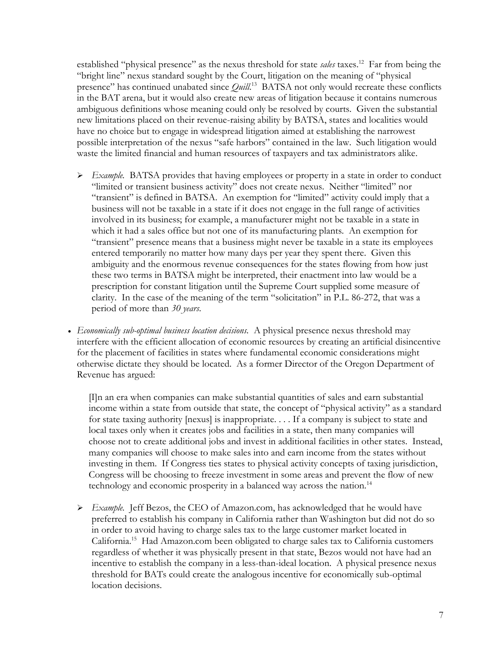established "physical presence" as the nexus threshold for state *sales* taxes.<sup>12</sup> Far from being the "bright line" nexus standard sought by the Court, litigation on the meaning of "physical presence" has continued unabated since *Quill*.<sup>13</sup> BATSA not only would recreate these conflicts in the BAT arena, but it would also create new areas of litigation because it contains numerous ambiguous definitions whose meaning could only be resolved by courts. Given the substantial new limitations placed on their revenue-raising ability by BATSA, states and localities would have no choice but to engage in widespread litigation aimed at establishing the narrowest possible interpretation of the nexus "safe harbors" contained in the law. Such litigation would waste the limited financial and human resources of taxpayers and tax administrators alike.

- *Example.* BATSA provides that having employees or property in a state in order to conduct "limited or transient business activity" does not create nexus. Neither "limited" nor "transient" is defined in BATSA. An exemption for "limited" activity could imply that a business will not be taxable in a state if it does not engage in the full range of activities involved in its business; for example, a manufacturer might not be taxable in a state in which it had a sales office but not one of its manufacturing plants. An exemption for "transient" presence means that a business might never be taxable in a state its employees entered temporarily no matter how many days per year they spent there. Given this ambiguity and the enormous revenue consequences for the states flowing from how just these two terms in BATSA might be interpreted, their enactment into law would be a prescription for constant litigation until the Supreme Court supplied some measure of clarity. In the case of the meaning of the term "solicitation" in P.L. 86-272, that was a period of more than *30 years*.
- *Economically sub-optimal business location decisions.* A physical presence nexus threshold may interfere with the efficient allocation of economic resources by creating an artificial disincentive for the placement of facilities in states where fundamental economic considerations might otherwise dictate they should be located. As a former Director of the Oregon Department of Revenue has argued:

[I]n an era when companies can make substantial quantities of sales and earn substantial income within a state from outside that state, the concept of "physical activity" as a standard for state taxing authority [nexus] is inappropriate. . . . If a company is subject to state and local taxes only when it creates jobs and facilities in a state, then many companies will choose not to create additional jobs and invest in additional facilities in other states. Instead, many companies will choose to make sales into and earn income from the states without investing in them. If Congress ties states to physical activity concepts of taxing jurisdiction, Congress will be choosing to freeze investment in some areas and prevent the flow of new technology and economic prosperity in a balanced way across the nation.<sup>14</sup>

 *Example.* Jeff Bezos, the CEO of Amazon.com, has acknowledged that he would have preferred to establish his company in California rather than Washington but did not do so in order to avoid having to charge sales tax to the large customer market located in California.<sup>15</sup> Had Amazon.com been obligated to charge sales tax to California customers regardless of whether it was physically present in that state, Bezos would not have had an incentive to establish the company in a less-than-ideal location. A physical presence nexus threshold for BATs could create the analogous incentive for economically sub-optimal location decisions.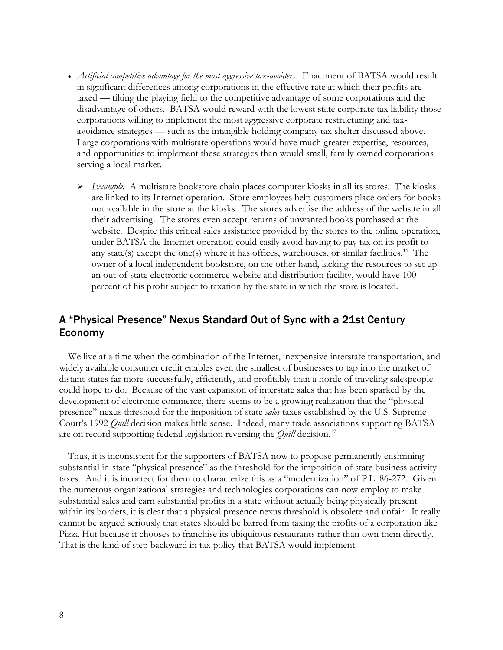- *Artificial competitive advantage for the most aggressive tax-avoiders.* Enactment of BATSA would result in significant differences among corporations in the effective rate at which their profits are taxed — tilting the playing field to the competitive advantage of some corporations and the disadvantage of others. BATSA would reward with the lowest state corporate tax liability those corporations willing to implement the most aggressive corporate restructuring and taxavoidance strategies — such as the intangible holding company tax shelter discussed above. Large corporations with multistate operations would have much greater expertise, resources, and opportunities to implement these strategies than would small, family-owned corporations serving a local market.
	- $\triangleright$  *Example.* A multistate bookstore chain places computer kiosks in all its stores. The kiosks are linked to its Internet operation. Store employees help customers place orders for books not available in the store at the kiosks. The stores advertise the address of the website in all their advertising. The stores even accept returns of unwanted books purchased at the website. Despite this critical sales assistance provided by the stores to the online operation, under BATSA the Internet operation could easily avoid having to pay tax on its profit to any state(s) except the one(s) where it has offices, warehouses, or similar facilities.<sup>16</sup> The owner of a local independent bookstore, on the other hand, lacking the resources to set up an out-of-state electronic commerce website and distribution facility, would have 100 percent of his profit subject to taxation by the state in which the store is located.

### A "Physical Presence" Nexus Standard Out of Sync with a 21st Century Economy

We live at a time when the combination of the Internet, inexpensive interstate transportation, and widely available consumer credit enables even the smallest of businesses to tap into the market of distant states far more successfully, efficiently, and profitably than a horde of traveling salespeople could hope to do. Because of the vast expansion of interstate sales that has been sparked by the development of electronic commerce, there seems to be a growing realization that the "physical presence" nexus threshold for the imposition of state *sales* taxes established by the U.S. Supreme Court's 1992 *Quill* decision makes little sense. Indeed, many trade associations supporting BATSA are on record supporting federal legislation reversing the *Quill* decision.<sup>17</sup>

Thus, it is inconsistent for the supporters of BATSA now to propose permanently enshrining substantial in-state "physical presence" as the threshold for the imposition of state business activity taxes. And it is incorrect for them to characterize this as a "modernization" of P.L. 86-272. Given the numerous organizational strategies and technologies corporations can now employ to make substantial sales and earn substantial profits in a state without actually being physically present within its borders, it is clear that a physical presence nexus threshold is obsolete and unfair. It really cannot be argued seriously that states should be barred from taxing the profits of a corporation like Pizza Hut because it chooses to franchise its ubiquitous restaurants rather than own them directly. That is the kind of step backward in tax policy that BATSA would implement.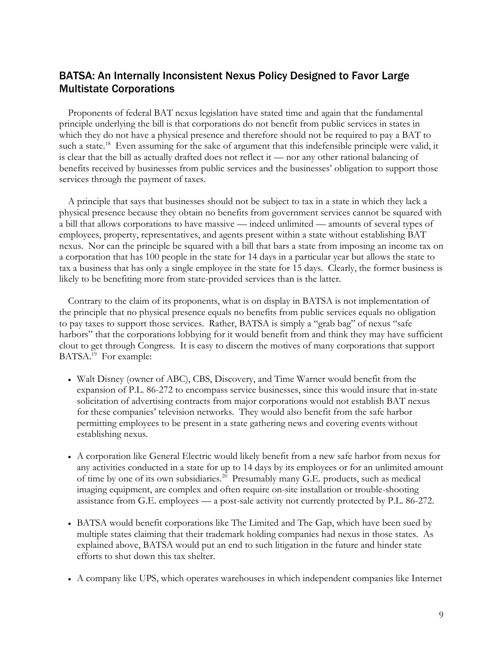## BATSA: An Internally Inconsistent Nexus Policy Designed to Favor Large Multistate Corporations

Proponents of federal BAT nexus legislation have stated time and again that the fundamental principle underlying the bill is that corporations do not benefit from public services in states in which they do not have a physical presence and therefore should not be required to pay a BAT to such a state.<sup>18</sup> Even assuming for the sake of argument that this indefensible principle were valid, it is clear that the bill as actually drafted does not reflect it — nor any other rational balancing of benefits received by businesses from public services and the businesses' obligation to support those services through the payment of taxes.

A principle that says that businesses should not be subject to tax in a state in which they lack a physical presence because they obtain no benefits from government services cannot be squared with a bill that allows corporations to have massive — indeed unlimited — amounts of several types of employees, property, representatives, and agents present within a state without establishing BAT nexus. Nor can the principle be squared with a bill that bars a state from imposing an income tax on a corporation that has 100 people in the state for 14 days in a particular year but allows the state to tax a business that has only a single employee in the state for 15 days. Clearly, the former business is likely to be benefiting more from state-provided services than is the latter.

Contrary to the claim of its proponents, what is on display in BATSA is not implementation of the principle that no physical presence equals no benefits from public services equals no obligation to pay taxes to support those services. Rather, BATSA is simply a "grab bag" of nexus "safe harbors" that the corporations lobbying for it would benefit from and think they may have sufficient clout to get through Congress. It is easy to discern the motives of many corporations that support BATSA.<sup>19</sup> For example:

- Walt Disney (owner of ABC), CBS, Discovery, and Time Warner would benefit from the expansion of P.L. 86-272 to encompass service businesses, since this would insure that in-state solicitation of advertising contracts from major corporations would not establish BAT nexus for these companies' television networks. They would also benefit from the safe harbor permitting employees to be present in a state gathering news and covering events without establishing nexus.
- A corporation like General Electric would likely benefit from a new safe harbor from nexus for any activities conducted in a state for up to 14 days by its employees or for an unlimited amount of time by one of its own subsidiaries.<sup>20</sup> Presumably many G.E. products, such as medical imaging equipment, are complex and often require on-site installation or trouble-shooting assistance from G.E. employees — a post-sale activity not currently protected by P.L. 86-272.
- BATSA would benefit corporations like The Limited and The Gap, which have been sued by multiple states claiming that their trademark holding companies had nexus in those states. As explained above, BATSA would put an end to such litigation in the future and hinder state efforts to shut down this tax shelter.
- A company like UPS, which operates warehouses in which independent companies like Internet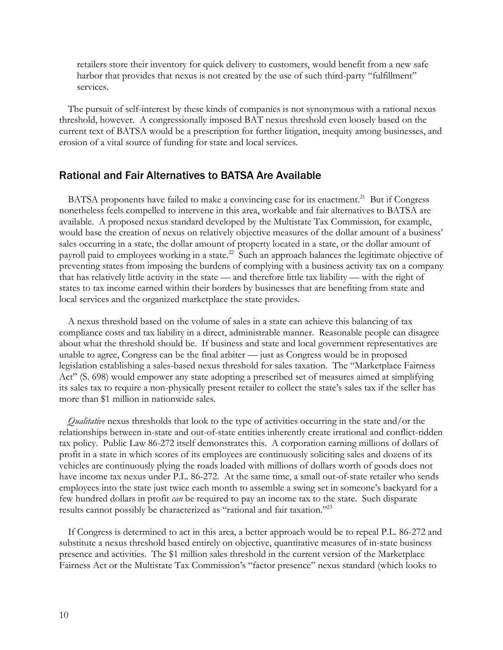retailers store their inventory for quick delivery to customers, would benefit from a new safe harbor that provides that nexus is not created by the use of such third-party "fulfillment" services.

The pursuit of self-interest by these kinds of companies is not synonymous with a rational nexus threshold, however. A congressionally imposed BAT nexus threshold even loosely based on the current text of BATSA would be a prescription for further litigation, inequity among businesses, and erosion of a vital source of funding for state and local services.

#### Rational and Fair Alternatives to BATSA Are Available

BATSA proponents have failed to make a convincing case for its enactment.<sup>21</sup> But if Congress nonetheless feels compelled to intervene in this area, workable and fair alternatives to BATSA are available. A proposed nexus standard developed by the Multistate Tax Commission, for example, would base the creation of nexus on relatively objective measures of the dollar amount of a business' sales occurring in a state, the dollar amount of property located in a state, or the dollar amount of payroll paid to employees working in a state.<sup>22</sup> Such an approach balances the legitimate objective of preventing states from imposing the burdens of complying with a business activity tax on a company that has relatively little activity in the state — and therefore little tax liability — with the right of states to tax income earned within their borders by businesses that are benefiting from state and local services and the organized marketplace the state provides.

A nexus threshold based on the volume of sales in a state can achieve this balancing of tax compliance costs and tax liability in a direct, administrable manner. Reasonable people can disagree about what the threshold should be. If business and state and local government representatives are unable to agree, Congress can be the final arbiter — just as Congress would be in proposed legislation establishing a sales-based nexus threshold for sales taxation. The "Marketplace Fairness Act" (S. 698) would empower any state adopting a prescribed set of measures aimed at simplifying its sales tax to require a non-physically present retailer to collect the state's sales tax if the seller has more than \$1 million in nationwide sales.

*Qualitative* nexus thresholds that look to the type of activities occurring in the state and/or the relationships between in-state and out-of-state entities inherently create irrational and conflict-ridden tax policy. Public Law 86-272 itself demonstrates this. A corporation earning millions of dollars of profit in a state in which scores of its employees are continuously soliciting sales and dozens of its vehicles are continuously plying the roads loaded with millions of dollars worth of goods does not have income tax nexus under P.L. 86-272. At the same time, a small out-of-state retailer who sends employees into the state just twice each month to assemble a swing set in someone's backyard for a few hundred dollars in profit *can* be required to pay an income tax to the state. Such disparate results cannot possibly be characterized as "rational and fair taxation."<sup>23</sup>

If Congress is determined to act in this area, a better approach would be to repeal P.L. 86-272 and substitute a nexus threshold based entirely on objective, quantitative measures of in-state business presence and activities. The \$1 million sales threshold in the current version of the Marketplace Fairness Act or the Multistate Tax Commission's "factor presence" nexus standard (which looks to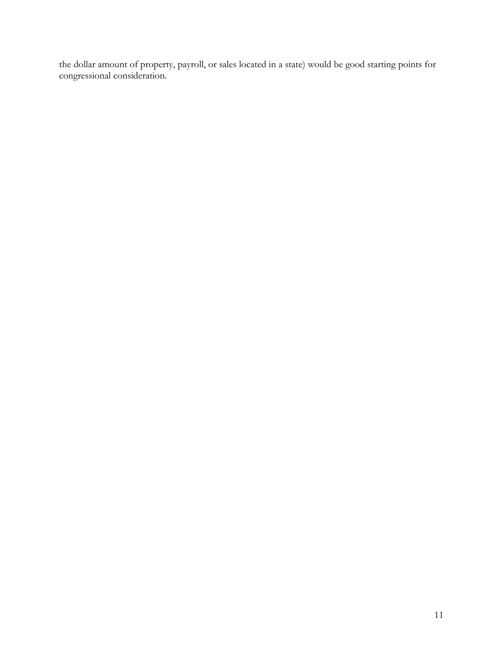the dollar amount of property, payroll, or sales located in a state) would be good starting points for congressional consideration.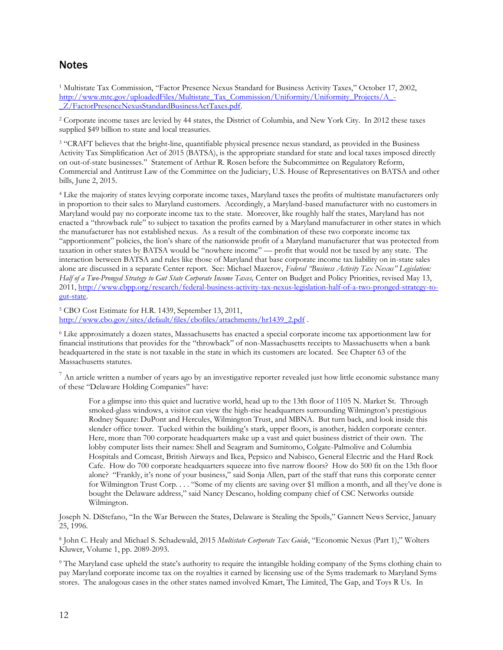#### **Notes**

<sup>1</sup> Multistate Tax Commission, "Factor Presence Nexus Standard for Business Activity Taxes," October 17, 2002, [http://www.mtc.gov/uploadedFiles/Multistate\\_Tax\\_Commission/Uniformity/Uniformity\\_Projects/A\\_-](http://www.mtc.gov/uploadedFiles/Multistate_Tax_Commission/Uniformity/Uniformity_Projects/A_-_Z/FactorPresenceNexusStandardBusinessActTaxes.pdf) [\\_Z/FactorPresenceNexusStandardBusinessActTaxes.pdf.](http://www.mtc.gov/uploadedFiles/Multistate_Tax_Commission/Uniformity/Uniformity_Projects/A_-_Z/FactorPresenceNexusStandardBusinessActTaxes.pdf)

<sup>2</sup> Corporate income taxes are levied by 44 states, the District of Columbia, and New York City. In 2012 these taxes supplied \$49 billion to state and local treasuries.

<sup>3</sup> "CRAFT believes that the bright-line, quantifiable physical presence nexus standard, as provided in the Business Activity Tax Simplification Act of 2015 (BATSA), is the appropriate standard for state and local taxes imposed directly on out-of-state businesses." Statement of Arthur R. Rosen before the Subcommittee on Regulatory Reform, Commercial and Antitrust Law of the Committee on the Judiciary, U.S. House of Representatives on BATSA and other bills, June 2, 2015.

<sup>4</sup> Like the majority of states levying corporate income taxes, Maryland taxes the profits of multistate manufacturers only in proportion to their sales to Maryland customers. Accordingly, a Maryland-based manufacturer with no customers in Maryland would pay no corporate income tax to the state. Moreover, like roughly half the states, Maryland has not enacted a "throwback rule" to subject to taxation the profits earned by a Maryland manufacturer in other states in which the manufacturer has not established nexus. As a result of the combination of these two corporate income tax "apportionment" policies, the lion's share of the nationwide profit of a Maryland manufacturer that was protected from taxation in other states by BATSA would be "nowhere income" — profit that would not be taxed by any state. The interaction between BATSA and rules like those of Maryland that base corporate income tax liability on in-state sales alone are discussed in a separate Center report. See: Michael Mazerov, *Federal "Business Activity Tax Nexus" Legislation: Half of a Two-Pronged Strategy to Gut State Corporate Income Taxes, Center on Budget and Policy Priorities, revised May 13,* 2011, [http://www.cbpp.org/research/federal-business-activity-tax-nexus-legislation-half-of-a-two-pronged-strategy-to](http://www.cbpp.org/research/federal-business-activity-tax-nexus-legislation-half-of-a-two-pronged-strategy-to-gut-state)[gut-state.](http://www.cbpp.org/research/federal-business-activity-tax-nexus-legislation-half-of-a-two-pronged-strategy-to-gut-state)

<sup>5</sup> CBO Cost Estimate for H.R. 1439, September 13, 2011, [http://www.cbo.gov/sites/default/files/cbofiles/attachments/hr1439\\_2.pdf](http://www.cbo.gov/sites/default/files/cbofiles/attachments/hr1439_2.pdf) .

<sup>6</sup> Like approximately a dozen states, Massachusetts has enacted a special corporate income tax apportionment law for financial institutions that provides for the "throwback" of non-Massachusetts receipts to Massachusetts when a bank headquartered in the state is not taxable in the state in which its customers are located. See Chapter 63 of the Massachusetts statutes.

 $<sup>7</sup>$  An article written a number of years ago by an investigative reporter revealed just how little economic substance many</sup> of these "Delaware Holding Companies" have:

For a glimpse into this quiet and lucrative world, head up to the 13th floor of 1105 N. Market St. Through smoked-glass windows, a visitor can view the high-rise headquarters surrounding Wilmington's prestigious Rodney Square: DuPont and Hercules, Wilmington Trust, and MBNA. But turn back, and look inside this slender office tower. Tucked within the building's stark, upper floors, is another, hidden corporate center. Here, more than 700 corporate headquarters make up a vast and quiet business district of their own. The lobby computer lists their names: Shell and Seagram and Sumitomo, Colgate-Palmolive and Columbia Hospitals and Comcast, British Airways and Ikea, Pepsico and Nabisco, General Electric and the Hard Rock Cafe. How do 700 corporate headquarters squeeze into five narrow floors? How do 500 fit on the 13th floor alone? "Frankly, it's none of your business," said Sonja Allen, part of the staff that runs this corporate center for Wilmington Trust Corp. . . . "Some of my clients are saving over \$1 million a month, and all they've done is bought the Delaware address," said Nancy Descano, holding company chief of CSC Networks outside Wilmington.

Joseph N. DiStefano, "In the War Between the States, Delaware is Stealing the Spoils," Gannett News Service, January 25, 1996.

8 John C. Healy and Michael S. Schadewald, 2015 *Multistate Corporate Tax Guide*, "Economic Nexus (Part 1)," Wolters Kluwer, Volume 1, pp. 2089-2093.

<sup>9</sup> The Maryland case upheld the state's authority to require the intangible holding company of the Syms clothing chain to pay Maryland corporate income tax on the royalties it earned by licensing use of the Syms trademark to Maryland Syms stores. The analogous cases in the other states named involved Kmart, The Limited, The Gap, and Toys R Us. In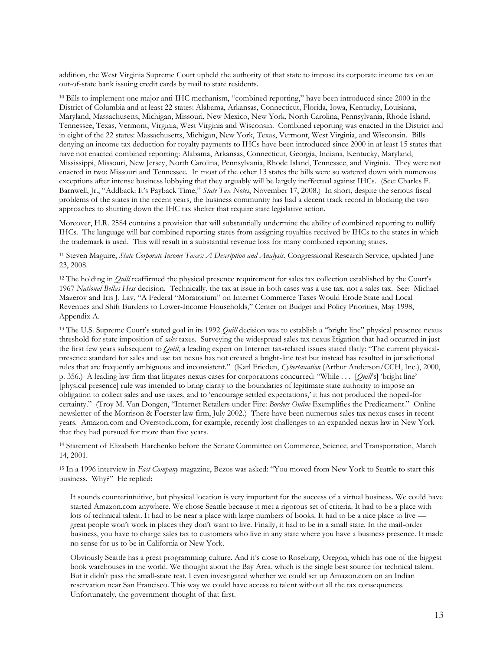addition, the West Virginia Supreme Court upheld the authority of that state to impose its corporate income tax on an out-of-state bank issuing credit cards by mail to state residents.

<sup>10</sup> Bills to implement one major anti-IHC mechanism, "combined reporting," have been introduced since 2000 in the District of Columbia and at least 22 states: Alabama, Arkansas, Connecticut, Florida, Iowa, Kentucky, Louisiana, Maryland, Massachusetts, Michigan, Missouri, New Mexico, New York, North Carolina, Pennsylvania, Rhode Island, Tennessee, Texas, Vermont, Virginia, West Virginia and Wisconsin. Combined reporting was enacted in the District and in eight of the 22 states: Massachusetts, Michigan, New York, Texas, Vermont, West Virginia, and Wisconsin. Bills denying an income tax deduction for royalty payments to IHCs have been introduced since 2000 in at least 15 states that have not enacted combined reporting: Alabama, Arkansas, Connecticut, Georgia, Indiana, Kentucky, Maryland, Mississippi, Missouri, New Jersey, North Carolina, Pennsylvania, Rhode Island, Tennessee, and Virginia. They were not enacted in two: Missouri and Tennessee. In most of the other 13 states the bills were so watered down with numerous exceptions after intense business lobbying that they arguably will be largely ineffectual against IHCs. (See: Charles F. Barnwell, Jr., "Addback: It's Payback Time," *State Tax Notes*, November 17, 2008.) In short, despite the serious fiscal problems of the states in the recent years, the business community has had a decent track record in blocking the two approaches to shutting down the IHC tax shelter that require state legislative action.

Moreover, H.R. 2584 contains a provision that will substantially undermine the ability of combined reporting to nullify IHCs. The language will bar combined reporting states from assigning royalties received by IHCs to the states in which the trademark is used. This will result in a substantial revenue loss for many combined reporting states.

<sup>11</sup> Steven Maguire, *State Corporate Income Taxes: A Description and Analysis*, Congressional Research Service, updated June 23, 2008.

<sup>12</sup> The holding in *Quill* reaffirmed the physical presence requirement for sales tax collection established by the Court's 1967 *National Bellas Hess* decision. Technically, the tax at issue in both cases was a use tax, not a sales tax. See: Michael Mazerov and Iris J. Lav, "A Federal "Moratorium" on Internet Commerce Taxes Would Erode State and Local Revenues and Shift Burdens to Lower-Income Households," Center on Budget and Policy Priorities, May 1998, Appendix A.

<sup>13</sup> The U.S. Supreme Court's stated goal in its 1992 *Quill* decision was to establish a "bright line" physical presence nexus threshold for state imposition of *sales* taxes. Surveying the widespread sales tax nexus litigation that had occurred in just the first few years subsequent to *Quill*, a leading expert on Internet tax-related issues stated flatly: "The current physicalpresence standard for sales and use tax nexus has not created a bright-line test but instead has resulted in jurisdictional rules that are frequently ambiguous and inconsistent." (Karl Frieden, *Cybertaxation* (Arthur Anderson/CCH, Inc.), 2000, p. 356.) A leading law firm that litigates nexus cases for corporations concurred: "While . . . [*Quill*'s] 'bright line' [physical presence] rule was intended to bring clarity to the boundaries of legitimate state authority to impose an obligation to collect sales and use taxes, and to 'encourage settled expectations,' it has not produced the hoped-for certainty." (Troy M. Van Dongen, "Internet Retailers under Fire: *Borders Online* Exemplifies the Predicament." Online newsletter of the Morrison & Foerster law firm, July 2002.) There have been numerous sales tax nexus cases in recent years. Amazon.com and Overstock.com, for example, recently lost challenges to an expanded nexus law in New York that they had pursued for more than five years.

<sup>14</sup> Statement of Elizabeth Harchenko before the Senate Committee on Commerce, Science, and Transportation, March 14, 2001.

<sup>15</sup> In a 1996 interview in *Fast Company* magazine, Bezos was asked: "You moved from New York to Seattle to start this business. Why?" He replied:

It sounds counterintuitive, but physical location is very important for the success of a virtual business. We could have started Amazon.com anywhere. We chose Seattle because it met a rigorous set of criteria. It had to be a place with lots of technical talent. It had to be near a place with large numbers of books. It had to be a nice place to live great people won't work in places they don't want to live. Finally, it had to be in a small state. In the mail-order business, you have to charge sales tax to customers who live in any state where you have a business presence. It made no sense for us to be in California or New York.

Obviously Seattle has a great programming culture. And it's close to Roseburg, Oregon, which has one of the biggest book warehouses in the world. We thought about the Bay Area, which is the single best source for technical talent. But it didn't pass the small-state test. I even investigated whether we could set up Amazon.com on an Indian reservation near San Francisco. This way we could have access to talent without all the tax consequences. Unfortunately, the government thought of that first.